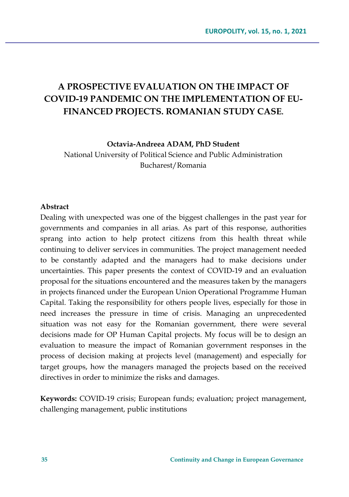# **A PROSPECTIVE EVALUATION ON THE IMPACT OF COVID-19 PANDEMIC ON THE IMPLEMENTATION OF EU-FINANCED PROJECTS. ROMANIAN STUDY CASE.**

**Octavia-Andreea ADAM, PhD Student**

National University of Political Science and Public Administration Bucharest/Romania

#### **Abstract**

Dealing with unexpected was one of the biggest challenges in the past year for governments and companies in all arias. As part of this response, authorities sprang into action to help protect citizens from this health threat while continuing to deliver services in communities. The project management needed to be constantly adapted and the managers had to make decisions under uncertainties. This paper presents the context of COVID-19 and an evaluation proposal for the situations encountered and the measures taken by the managers in projects financed under the European Union Operational Programme Human Capital. Taking the responsibility for others people lives, especially for those in need increases the pressure in time of crisis. Managing an unprecedented situation was not easy for the Romanian government, there were several decisions made for OP Human Capital projects. My focus will be to design an evaluation to measure the impact of Romanian government responses in the process of decision making at projects level (management) and especially for target groups, how the managers managed the projects based on the received directives in order to minimize the risks and damages.

**Keywords:** COVID-19 crisis; European funds; evaluation; project management, challenging management, public institutions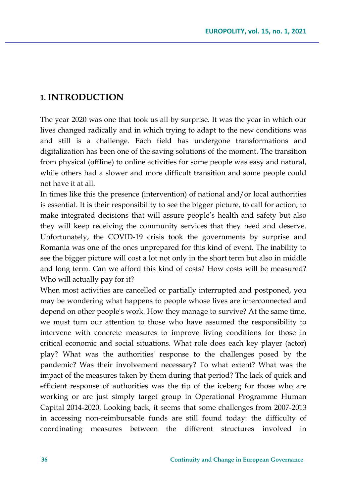### **1. INTRODUCTION**

The year 2020 was one that took us all by surprise. It was the year in which our lives changed radically and in which trying to adapt to the new conditions was and still is a challenge. Each field has undergone transformations and digitalization has been one of the saving solutions of the moment. The transition from physical (offline) to online activities for some people was easy and natural, while others had a slower and more difficult transition and some people could not have it at all.

In times like this the presence (intervention) of national and/or local authorities is essential. It is their responsibility to see the bigger picture, to call for action, to make integrated decisions that will assure people's health and safety but also they will keep receiving the community services that they need and deserve. Unfortunately, the COVID-19 crisis took the governments by surprise and Romania was one of the ones unprepared for this kind of event. The inability to see the bigger picture will cost a lot not only in the short term but also in middle and long term. Can we afford this kind of costs? How costs will be measured? Who will actually pay for it?

When most activities are cancelled or partially interrupted and postponed, you may be wondering what happens to people whose lives are interconnected and depend on other people's work. How they manage to survive? At the same time, we must turn our attention to those who have assumed the responsibility to intervene with concrete measures to improve living conditions for those in critical economic and social situations. What role does each key player (actor) play? What was the authorities' response to the challenges posed by the pandemic? Was their involvement necessary? To what extent? What was the impact of the measures taken by them during that period? The lack of quick and efficient response of authorities was the tip of the iceberg for those who are working or are just simply target group in Operational Programme Human Capital 2014-2020. Looking back, it seems that some challenges from 2007-2013 in accessing non-reimbursable funds are still found today: the difficulty of coordinating measures between the different structures involved in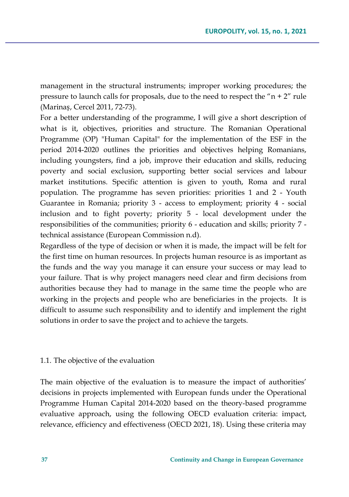management in the structural instruments; improper working procedures; the pressure to launch calls for proposals, due to the need to respect the " $n + 2$ " rule (Marinaș, Cercel 2011, 72-73).

For a better understanding of the programme, I will give a short description of what is it, objectives, priorities and structure. The Romanian Operational Programme (OP) "Human Capital" for the implementation of the ESF in the period 2014-2020 outlines the priorities and objectives helping Romanians, including youngsters, find a job, improve their education and skills, reducing poverty and social exclusion, supporting better social services and labour market institutions. Specific attention is given to youth, Roma and rural population. The programme has seven priorities: priorities 1 and 2 - Youth Guarantee in Romania; priority 3 - access to employment; priority 4 - social inclusion and to fight poverty; priority 5 - local development under the responsibilities of the communities; priority 6 - education and skills; priority 7 technical assistance (European Commission n.d).

Regardless of the type of decision or when it is made, the impact will be felt for the first time on human resources. In projects human resource is as important as the funds and the way you manage it can ensure your success or may lead to your failure. That is why project managers need clear and firm decisions from authorities because they had to manage in the same time the people who are working in the projects and people who are beneficiaries in the projects. It is difficult to assume such responsibility and to identify and implement the right solutions in order to save the project and to achieve the targets.

#### 1.1. The objective of the evaluation

The main objective of the evaluation is to measure the impact of authorities' decisions in projects implemented with European funds under the Operational Programme Human Capital 2014-2020 based on the theory-based programme evaluative approach, using the following OECD evaluation criteria: impact, relevance, efficiency and effectiveness (OECD 2021, 18). Using these criteria may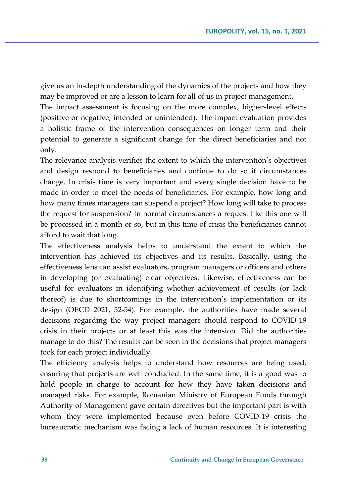give us an in-depth understanding of the dynamics of the projects and how they may be improved or are a lesson to learn for all of us in project management.

The impact assessment is focusing on the more complex, higher-level effects (positive or negative, intended or unintended). The impact evaluation provides a holistic frame of the intervention consequences on longer term and their potential to generate a significant change for the direct beneficiaries and not only.

The relevance analysis verifies the extent to which the intervention's objectives and design respond to beneficiaries and continue to do so if circumstances change. In crisis time is very important and every single decision have to be made in order to meet the needs of beneficiaries. For example, how long and how many times managers can suspend a project? How long will take to process the request for suspension? In normal circumstances a request like this one will be processed in a month or so, but in this time of crisis the beneficiaries cannot afford to wait that long.

The effectiveness analysis helps to understand the extent to which the intervention has achieved its objectives and its results. Basically, using the effectiveness lens can assist evaluators, program managers or officers and others in developing (or evaluating) clear objectives. Likewise, effectiveness can be useful for evaluators in identifying whether achievement of results (or lack thereof) is due to shortcomings in the intervention's implementation or its design (OECD 2021, 52-54). For example, the authorities have made several decisions regarding the way project managers should respond to COVID-19 crisis in their projects or at least this was the intension. Did the authorities manage to do this? The results can be seen in the decisions that project managers took for each project individually.

The efficiency analysis helps to understand how resources are being used, ensuring that projects are well conducted. In the same time, it is a good was to hold people in charge to account for how they have taken decisions and managed risks. For example, Romanian Ministry of European Funds through Authority of Management gave certain directives but the important part is with whom they were implemented because even before COVID-19 crisis the bureaucratic mechanism was facing a lack of human resources. It is interesting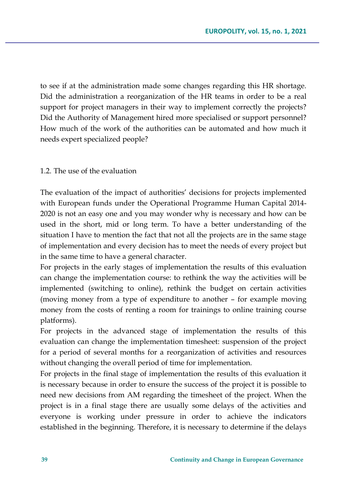to see if at the administration made some changes regarding this HR shortage. Did the administration a reorganization of the HR teams in order to be a real support for project managers in their way to implement correctly the projects? Did the Authority of Management hired more specialised or support personnel? How much of the work of the authorities can be automated and how much it needs expert specialized people?

### 1.2. The use of the evaluation

The evaluation of the impact of authorities' decisions for projects implemented with European funds under the Operational Programme Human Capital 2014- 2020 is not an easy one and you may wonder why is necessary and how can be used in the short, mid or long term. To have a better understanding of the situation I have to mention the fact that not all the projects are in the same stage of implementation and every decision has to meet the needs of every project but in the same time to have a general character.

For projects in the early stages of implementation the results of this evaluation can change the implementation course: to rethink the way the activities will be implemented (switching to online), rethink the budget on certain activities (moving money from a type of expenditure to another – for example moving money from the costs of renting a room for trainings to online training course platforms).

For projects in the advanced stage of implementation the results of this evaluation can change the implementation timesheet: suspension of the project for a period of several months for a reorganization of activities and resources without changing the overall period of time for implementation.

For projects in the final stage of implementation the results of this evaluation it is necessary because in order to ensure the success of the project it is possible to need new decisions from AM regarding the timesheet of the project. When the project is in a final stage there are usually some delays of the activities and everyone is working under pressure in order to achieve the indicators established in the beginning. Therefore, it is necessary to determine if the delays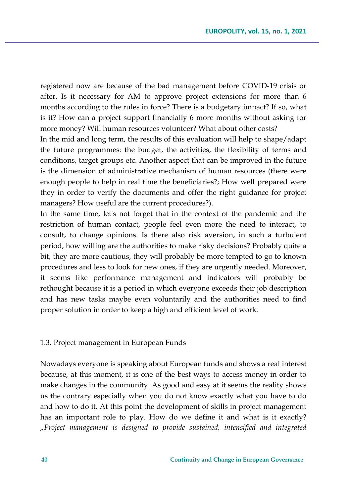registered now are because of the bad management before COVID-19 crisis or after. Is it necessary for AM to approve project extensions for more than 6 months according to the rules in force? There is a budgetary impact? If so, what is it? How can a project support financially 6 more months without asking for more money? Will human resources volunteer? What about other costs?

In the mid and long term, the results of this evaluation will help to shape/adapt the future programmes: the budget, the activities, the flexibility of terms and conditions, target groups etc. Another aspect that can be improved in the future is the dimension of administrative mechanism of human resources (there were enough people to help in real time the beneficiaries?; How well prepared were they in order to verify the documents and offer the right guidance for project managers? How useful are the current procedures?).

In the same time, let's not forget that in the context of the pandemic and the restriction of human contact, people feel even more the need to interact, to consult, to change opinions. Is there also risk aversion, in such a turbulent period, how willing are the authorities to make risky decisions? Probably quite a bit, they are more cautious, they will probably be more tempted to go to known procedures and less to look for new ones, if they are urgently needed. Moreover, it seems like performance management and indicators will probably be rethought because it is a period in which everyone exceeds their job description and has new tasks maybe even voluntarily and the authorities need to find proper solution in order to keep a high and efficient level of work.

#### 1.3. Project management in European Funds

Nowadays everyone is speaking about European funds and shows a real interest because, at this moment, it is one of the best ways to access money in order to make changes in the community. As good and easy at it seems the reality shows us the contrary especially when you do not know exactly what you have to do and how to do it. At this point the development of skills in project management has an important role to play. How do we define it and what is it exactly? *"Project management is designed to provide sustained, intensified and integrated*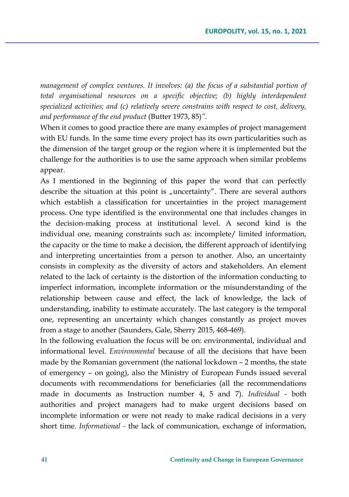*management of complex ventures. It involves: (a) the focus of a substantial portion of total organisational resources on a specific objective; (b) highly interdependent specialized activities; and (c) relatively severe constrains with respect to cost, delivery, and performance of the end product* (Butter 1973, 85)*".*

When it comes to good practice there are many examples of project management with EU funds. In the same time every project has its own particularities such as the dimension of the target group or the region where it is implemented but the challenge for the authorities is to use the same approach when similar problems appear.

As I mentioned in the beginning of this paper the word that can perfectly describe the situation at this point is "uncertainty". There are several authors which establish a classification for uncertainties in the project management process. One type identified is the environmental one that includes changes in the decision-making process at institutional level. A second kind is the individual one, meaning constraints such as: incomplete/ limited information, the capacity or the time to make a decision, the different approach of identifying and interpreting uncertainties from a person to another. Also, an uncertainty consists in complexity as the diversity of actors and stakeholders. An element related to the lack of certainty is the distortion of the information conducting to imperfect information, incomplete information or the misunderstanding of the relationship between cause and effect, the lack of knowledge, the lack of understanding, inability to estimate accurately. The last category is the temporal one, representing an uncertainty which changes constantly as project moves from a stage to another (Saunders, Gale, Sherry 2015, 468-469).

In the following evaluation the focus will be on: environmental, individual and informational level. *Environmental* because of all the decisions that have been made by the Romanian government (the national lockdown – 2 months, the state of emergency – on going), also the Ministry of European Funds issued several documents with recommendations for beneficiaries (all the recommendations made in documents as Instruction number 4, 5 and 7). *Individual* - both authorities and project managers had to make urgent decisions based on incomplete information or were not ready to make radical decisions in a very short time. *Informational -* the lack of communication, exchange of information,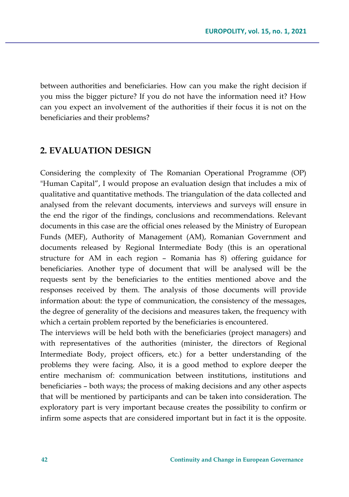between authorities and beneficiaries. How can you make the right decision if you miss the bigger picture? If you do not have the information need it? How can you expect an involvement of the authorities if their focus it is not on the beneficiaries and their problems?

## **2. EVALUATION DESIGN**

Considering the complexity of The Romanian Operational Programme (OP) "Human Capital", I would propose an evaluation design that includes a mix of qualitative and quantitative methods. The triangulation of the data collected and analysed from the relevant documents, interviews and surveys will ensure in the end the rigor of the findings, conclusions and recommendations. Relevant documents in this case are the official ones released by the Ministry of European Funds (MEF), Authority of Management (AM), Romanian Government and documents released by Regional Intermediate Body (this is an operational structure for AM in each region – Romania has 8) offering guidance for beneficiaries. Another type of document that will be analysed will be the requests sent by the beneficiaries to the entities mentioned above and the responses received by them. The analysis of those documents will provide information about: the type of communication, the consistency of the messages, the degree of generality of the decisions and measures taken, the frequency with which a certain problem reported by the beneficiaries is encountered.

The interviews will be held both with the beneficiaries (project managers) and with representatives of the authorities (minister, the directors of Regional Intermediate Body, project officers, etc.) for a better understanding of the problems they were facing. Also, it is a good method to explore deeper the entire mechanism of: communication between institutions, institutions and beneficiaries – both ways; the process of making decisions and any other aspects that will be mentioned by participants and can be taken into consideration. The exploratory part is very important because creates the possibility to confirm or infirm some aspects that are considered important but in fact it is the opposite.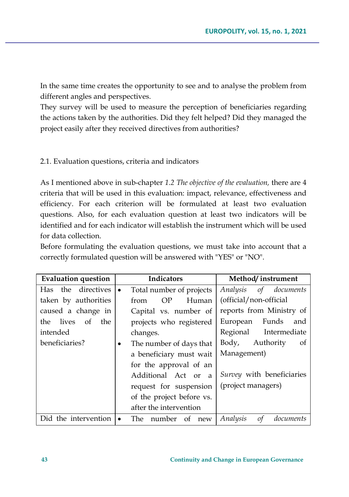In the same time creates the opportunity to see and to analyse the problem from different angles and perspectives.

They survey will be used to measure the perception of beneficiaries regarding the actions taken by the authorities. Did they felt helped? Did they managed the project easily after they received directives from authorities?

### 2.1. Evaluation questions, criteria and indicators

As I mentioned above in sub-chapter *1.2 The objective of the evaluation,* there are 4 criteria that will be used in this evaluation: impact, relevance, effectiveness and efficiency. For each criterion will be formulated at least two evaluation questions. Also, for each evaluation question at least two indicators will be identified and for each indicator will establish the instrument which will be used for data collection.

Before formulating the evaluation questions, we must take into account that a correctly formulated question will be answered with "YES" or "NO".

| <b>Evaluation question</b> | <b>Indicators</b>          | Method/instrument           |
|----------------------------|----------------------------|-----------------------------|
| the directives<br>Has      | Total number of projects   | Analysis<br>of documents    |
| taken by authorities       | OP<br>Human<br>from        | (official/non-official      |
| caused a change in         | Capital vs. number of      | reports from Ministry of    |
| lives of<br>the<br>the     | projects who registered    | Funds<br>European<br>and    |
| intended                   | changes.                   | Regional Intermediate       |
| beneficiaries?             | The number of days that    | Authority<br>Body,<br>of    |
|                            | a beneficiary must wait    | Management)                 |
|                            | for the approval of an     |                             |
|                            | Additional Act or a        | Survey with beneficiaries   |
|                            | request for suspension     | (project managers)          |
|                            | of the project before vs.  |                             |
|                            | after the intervention     |                             |
| Did the intervention       | The<br>number<br>of<br>new | Analysis<br>οf<br>documents |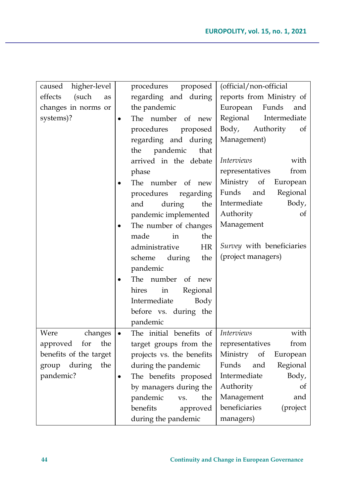| higher-level<br>caused |           | procedures proposed       | (official/non-official              |
|------------------------|-----------|---------------------------|-------------------------------------|
| effects<br>(such<br>as |           | regarding and during      | reports from Ministry of            |
| changes in norms or    |           | the pandemic              | European<br>Funds<br>and            |
| systems)?              |           | The number of new         | Regional<br>Intermediate            |
|                        |           | procedures<br>proposed    | Body,<br>Authority<br><sub>of</sub> |
|                        |           | regarding and during      | Management)                         |
|                        |           | pandemic<br>that<br>the   |                                     |
|                        |           | arrived in the debate     | <i>Interviews</i><br>with           |
|                        |           | phase                     | representatives<br>from             |
|                        |           | The number of new         | Ministry of<br>European             |
|                        |           | procedures<br>regarding   | Regional<br>Funds<br>and            |
|                        |           | and<br>during<br>the      | Intermediate<br>Body,               |
|                        |           | pandemic implemented      | Authority<br>of                     |
|                        | $\bullet$ | The number of changes     | Management                          |
|                        |           | made<br>the<br>in         |                                     |
|                        |           | administrative<br>HR      | Survey with beneficiaries           |
|                        |           | during<br>the<br>scheme   | (project managers)                  |
|                        |           | pandemic                  |                                     |
|                        |           | The number<br>of<br>new   |                                     |
|                        |           | Regional<br>hires<br>in   |                                     |
|                        |           | Intermediate<br>Body      |                                     |
|                        |           | before vs. during the     |                                     |
|                        |           | pandemic                  |                                     |
| Were<br>changes        | $\bullet$ | The initial benefits of   | <b>Interviews</b><br>with           |
| the<br>approved for    |           | target groups from the    | from<br>representatives             |
| benefits of the target |           | projects vs. the benefits | Ministry<br>of<br>European          |
| group during<br>the    |           | during the pandemic       | Regional<br>Funds<br>and            |
| pandemic?              | $\bullet$ | The benefits proposed     | Intermediate<br>Body,               |
|                        |           | by managers during the    | Authority<br>of                     |
|                        |           | pandemic<br>the<br>VS.    | Management<br>and                   |
|                        |           | benefits<br>approved      | beneficiaries<br>(project           |
|                        |           | during the pandemic       | managers)                           |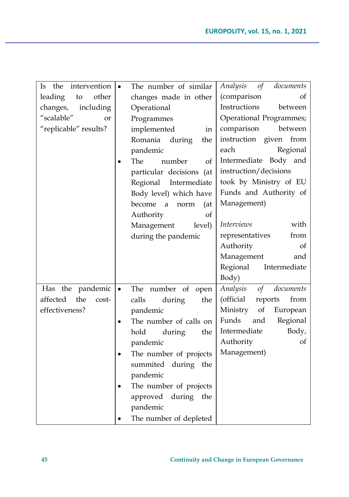| the<br>intervention<br>Is. |           | The number of similar    | Analysis<br>of<br>documents  |
|----------------------------|-----------|--------------------------|------------------------------|
| other<br>leading<br>to     |           | changes made in other    | (comparison<br>οf            |
| changes,<br>including      |           | Operational              | Instructions<br>between      |
| "scalable"<br><b>or</b>    |           | Programmes               | Operational Programmes;      |
| "replicable" results?      |           | implemented<br>in        | between<br>comparison        |
|                            |           | Romania during<br>the    | instruction given from       |
|                            |           | pandemic                 | each<br>Regional             |
|                            |           | The<br>number<br>of      | Intermediate Body and        |
|                            |           | particular decisions (at | instruction/decisions        |
|                            |           | Regional<br>Intermediate | took by Ministry of EU       |
|                            |           | Body level) which have   | Funds and Authority of       |
|                            |           | become a<br>norm<br>(at  | Management)                  |
|                            |           | Authority<br>οf          |                              |
|                            |           | level)<br>Management     | <b>Interviews</b><br>with    |
|                            |           | during the pandemic      | representatives<br>from      |
|                            |           |                          | of<br>Authority              |
|                            |           |                          | Management<br>and            |
|                            |           |                          | Regional<br>Intermediate     |
|                            |           |                          | Body)                        |
| Has the pandemic           | $\bullet$ | The number of<br>open    | documents<br>Analysis<br>of  |
| affected<br>the<br>cost-   |           | calls<br>during<br>the   | (official<br>from<br>reports |
| effectiveness?             |           | pandemic                 | of<br>Ministry<br>European   |
|                            | $\bullet$ | The number of calls on   | Regional<br>Funds<br>and     |
|                            |           | hold<br>during<br>the    | Intermediate<br>Body,        |
|                            |           | pandemic                 | Authority<br>of              |
|                            | $\bullet$ | The number of projects   | Management)                  |
|                            |           | summited during the      |                              |
|                            |           | pandemic                 |                              |
|                            | $\bullet$ | The number of projects   |                              |
|                            |           | approved during the      |                              |
|                            |           | pandemic                 |                              |
|                            |           | The number of depleted   |                              |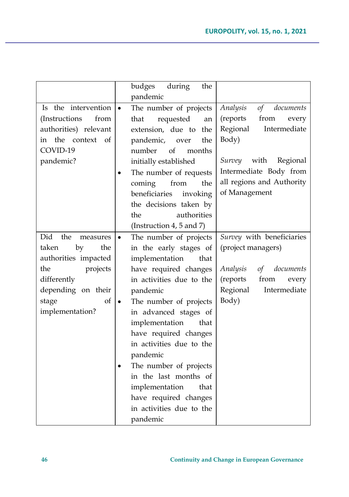|                                  | budges<br>during<br>the             |                                   |
|----------------------------------|-------------------------------------|-----------------------------------|
|                                  | pandemic                            |                                   |
| Is the intervention<br>$\bullet$ | The number of projects              | Analysis<br>of<br>documents       |
| (Instructions<br>from            | requested<br>that<br>an             | ${\rm from}$<br>(reports<br>every |
| authorities) relevant            | extension, due to the               | Regional<br>Intermediate          |
| the context of<br>in             | pandemic,<br>the<br>over            | Body)                             |
| COVID-19                         | of<br>number<br>months              |                                   |
| pandemic?                        | initially established               | with<br>Regional<br>Survey        |
|                                  | The number of requests              | Intermediate Body from            |
|                                  | from<br>coming<br>the               | all regions and Authority         |
|                                  | beneficiaries<br>invoking           | of Management                     |
|                                  | the decisions taken by              |                                   |
|                                  | authorities<br>the                  |                                   |
|                                  | (Instruction 4, 5 and 7)            |                                   |
| Did<br>the<br>measures           | The number of projects<br>$\bullet$ | Survey with beneficiaries         |
| by<br>the<br>taken               | in the early stages of              | (project managers)                |
| authorities impacted             | implementation<br>that              |                                   |
| the<br>projects                  | have required changes               | Analysis<br>documents<br>of       |
| differently                      | in activities due to the            | (reports<br>from<br>every         |
| depending on their               | pandemic                            | Regional<br>Intermediate          |
| of<br>stage                      | The number of projects<br>$\bullet$ | Body)                             |
| implementation?                  | in advanced stages of               |                                   |
|                                  | implementation<br>that              |                                   |
|                                  | have required changes               |                                   |
|                                  | in activities due to the            |                                   |
|                                  | pandemic                            |                                   |
|                                  | The number of projects              |                                   |
|                                  | in the last months of               |                                   |
|                                  | implementation<br>that              |                                   |
|                                  | have required changes               |                                   |
|                                  | in activities due to the            |                                   |
|                                  | pandemic                            |                                   |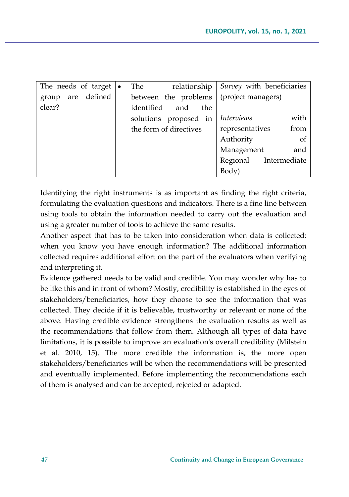| The needs of target $\cdot$ | relationship<br>The      | Survey with beneficiaries |
|-----------------------------|--------------------------|---------------------------|
| are defined<br>group        | between the problems     | (project managers)        |
| clear?                      | identified<br>and<br>the |                           |
|                             | solutions proposed in    | with<br><i>Interviews</i> |
|                             | the form of directives   | from<br>representatives   |
|                             |                          | - of<br>Authority         |
|                             |                          | Management<br>and         |
|                             |                          | Intermediate<br>Regional  |
|                             |                          | Body)                     |

Identifying the right instruments is as important as finding the right criteria, formulating the evaluation questions and indicators. There is a fine line between using tools to obtain the information needed to carry out the evaluation and using a greater number of tools to achieve the same results.

Another aspect that has to be taken into consideration when data is collected: when you know you have enough information? The additional information collected requires additional effort on the part of the evaluators when verifying and interpreting it.

Evidence gathered needs to be valid and credible. You may wonder why has to be like this and in front of whom? Mostly, credibility is established in the eyes of stakeholders/beneficiaries, how they choose to see the information that was collected. They decide if it is believable, trustworthy or relevant or none of the above. Having credible evidence strengthens the evaluation results as well as the recommendations that follow from them. Although all types of data have limitations, it is possible to improve an evaluation's overall credibility (Milstein et al. 2010, 15). The more credible the information is, the more open stakeholders/beneficiaries will be when the recommendations will be presented and eventually implemented. Before implementing the recommendations each of them is analysed and can be accepted, rejected or adapted.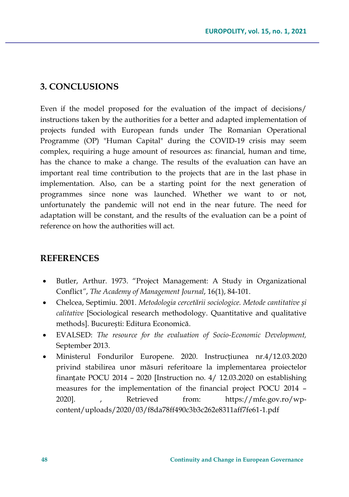# **3. CONCLUSIONS**

Even if the model proposed for the evaluation of the impact of decisions/ instructions taken by the authorities for a better and adapted implementation of projects funded with European funds under The Romanian Operational Programme (OP) "Human Capital" during the COVID-19 crisis may seem complex, requiring a huge amount of resources as: financial, human and time, has the chance to make a change. The results of the evaluation can have an important real time contribution to the projects that are in the last phase in implementation. Also, can be a starting point for the next generation of programmes since none was launched. Whether we want to or not, unfortunately the pandemic will not end in the near future. The need for adaptation will be constant, and the results of the evaluation can be a point of reference on how the authorities will act.

# **REFERENCES**

- Butler, Arthur. 1973. "Project Management: A Study in Organizational Conflict*"*, *The Academy of Management Journal*, 16(1), 84-101.
- Chelcea, Septimiu. 2001. *Metodologia cercetării sociologice. Metode cantitative și calitative* [Sociological research methodology. Quantitative and qualitative methods]. București: Editura Economică.
- EVALSED: *The resource for the evaluation of Socio-Economic Development,* September 2013.
- Ministerul Fondurilor Europene. 2020. Instrucțiunea nr.4/12.03.2020 privind stabilirea unor măsuri referitoare la implementarea proiectelor finanțate POCU 2014 – 2020 [Instruction no. 4/ 12.03.2020 on establishing measures for the implementation of the financial project POCU 2014 – 2020]. , Retrieved from: https://mfe.gov.ro/wpcontent/uploads/2020/03/f8da78ff490c3b3c262e8311aff7fe61-1.pdf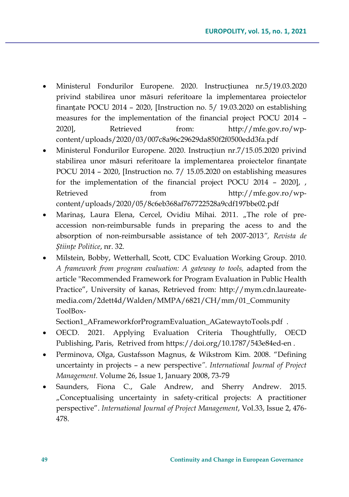- Ministerul Fondurilor Europene. 2020. Instrucțiunea nr.5/19.03.2020 privind stabilirea unor măsuri referitoare la implementarea proiectelor finanțate POCU 2014 – 2020, [Instruction no. 5/ 19.03.2020 on establishing measures for the implementation of the financial project POCU 2014 – 2020], Retrieved from: http://mfe.gov.ro/wpcontent/uploads/2020/03/007c8a96c29629da850f2f0500edd3fa.pdf
- Ministerul Fondurilor Europene. 2020. Instrucțiun nr.7/15.05.2020 privind stabilirea unor măsuri referitoare la implementarea proiectelor finanțate POCU 2014 – 2020, [Instruction no. 7/ 15.05.2020 on establishing measures for the implementation of the financial project POCU 2014 – 2020], , Retrieved from http://mfe.gov.ro/wpcontent/uploads/2020/05/8c6eb368af767722528a9cdf197bbe02.pdf
- Marinaș, Laura Elena, Cercel, Ovidiu Mihai. 2011. "The role of preaccession non-reimbursable funds in preparing the acess to and the absorption of non-reimbursable assistance of teh 2007-2013*", Revista de Științe Politice*, nr. 32.
- Milstein, Bobby, Wetterhall, Scott, CDC Evaluation Working Group. 2010. *A framework from program evaluation: A gateway to tools,* adapted from the article "Recommended Framework for Program Evaluation in Public Health Practice", University of kanas, Retrieved from: http://mym.cdn.laureatemedia.com/2dett4d/Walden/MMPA/6821/CH/mm/01\_Community ToolBox-

Section1\_AFrameworkforProgramEvaluation\_AGatewaytoTools.pdf .

- OECD. 2021. Applying Evaluation Criteria Thoughtfully, OECD Publishing, Paris, Retrived from https://doi.org/10.1787/543e84ed-en .
- Perminova, Olga, Gustafsson Magnus, & Wikstrom Kim. 2008. "Defining uncertainty in projects – a new perspective*". International Journal of Project Management.* [Volume 26, Issue 1](https://www.sciencedirect.com/science/journal/02637863/26/1), January 2008, 73-79
- Saunders, Fiona C., Gale Andrew, and Sherry Andrew. 2015. "Conceptualising uncertainty in safety-critical projects: A practitioner perspective". *International Journal of Project Management*, Vol.33, Issue 2, 476- 478.